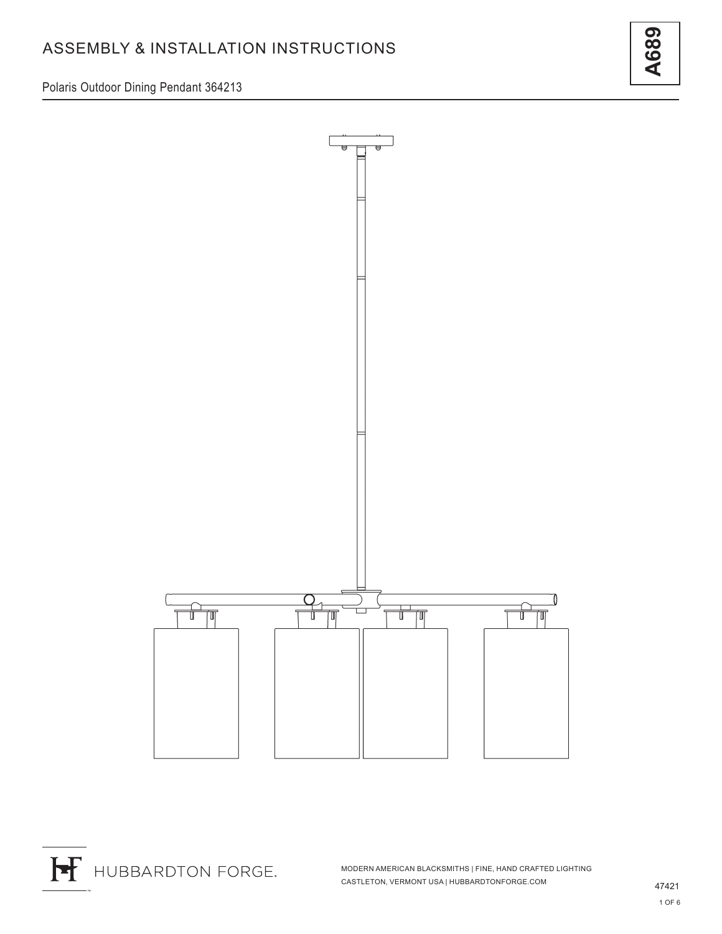Polaris Outdoor Dining Pendant 364213





MODERN AMERICAN BLACKSMITHS | FINE, HAND CRAFTED LIGHTING CASTLETON, VERMONT USA | HUBBARDTONFORGE.COM 47421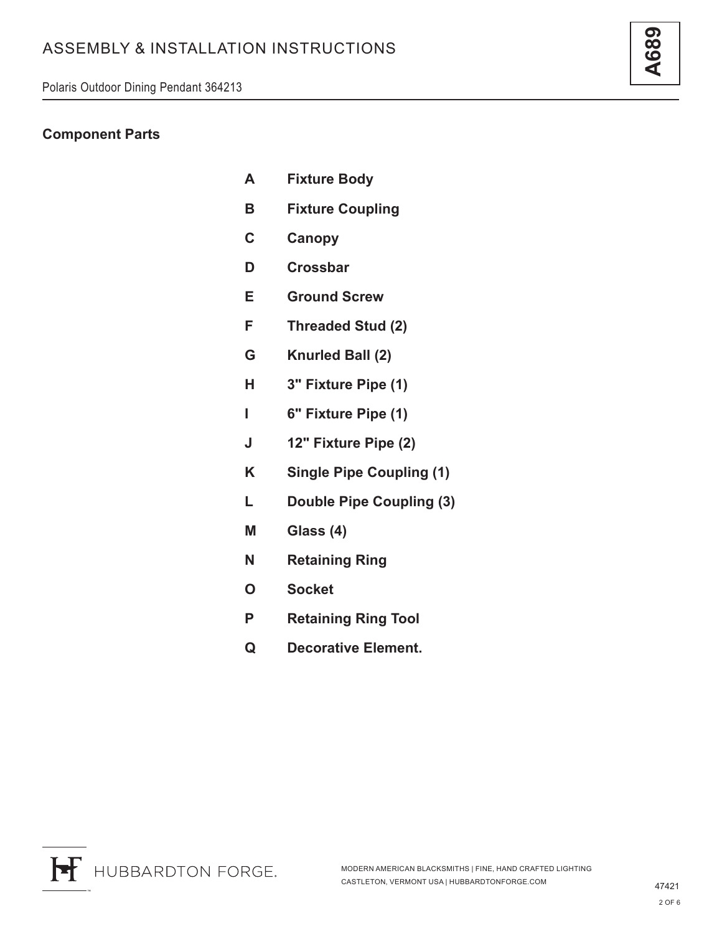### **Component Parts**

- **A Fixture Body**
- **B Fixture Coupling**
- **C Canopy**
- **D Crossbar**
- **E Ground Screw**
- **F Threaded Stud (2)**
- **G Knurled Ball (2)**
- **H 3" Fixture Pipe (1)**
- **I 6" Fixture Pipe (1)**
- **J 12" Fixture Pipe (2)**
- **K Single Pipe Coupling (1)**
- **L Double Pipe Coupling (3)**
- **M Glass (4)**
- **N Retaining Ring**
- **O Socket**
- **P Retaining Ring Tool**
- **Q Decorative Element.**

**A689**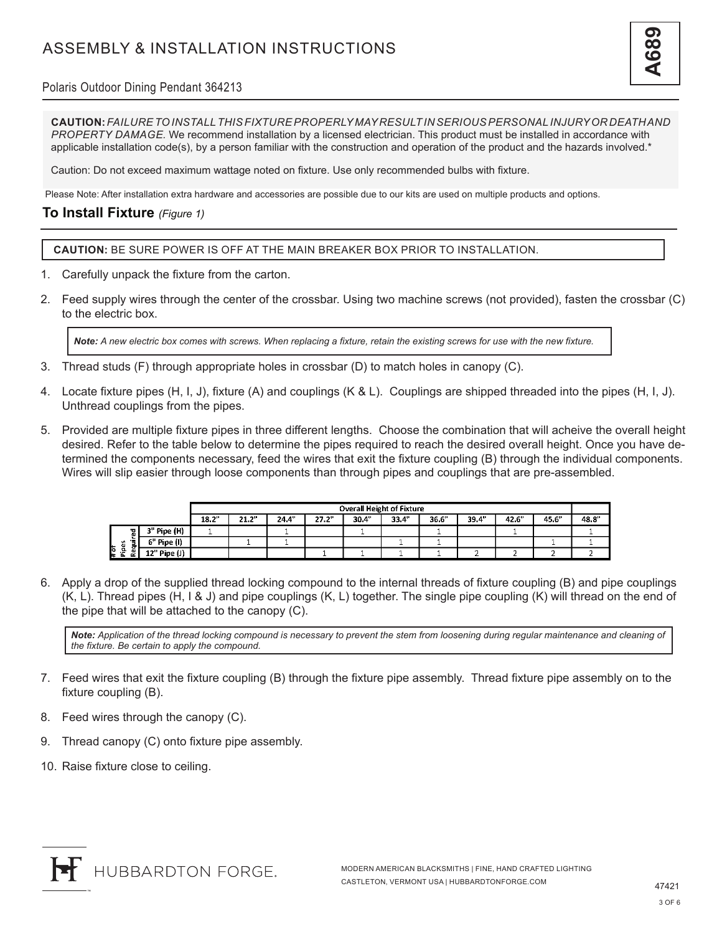# ASSEMBLY & INSTALLATION INSTRUCTIONS



#### Polaris Outdoor Dining Pendant 364213

**CAUTION:** *FAILURE TO INSTALL THIS FIXTURE PROPERLY MAY RESULT IN SERIOUS PERSONAL INJURY OR DEATH AND PROPERTY DAMAGE.* We recommend installation by a licensed electrician. This product must be installed in accordance with applicable installation code(s), by a person familiar with the construction and operation of the product and the hazards involved.\*

Caution: Do not exceed maximum wattage noted on fixture. Use only recommended bulbs with fixture.

Please Note: After installation extra hardware and accessories are possible due to our kits are used on multiple products and options.

### **To Install Fixture** *(Figure 1)*

**CAUTION:** BE SURE POWER IS OFF AT THE MAIN BREAKER BOX PRIOR TO INSTALLATION.

- 1. Carefully unpack the fixture from the carton.
- 2. Feed supply wires through the center of the crossbar. Using two machine screws (not provided), fasten the crossbar (C) to the electric box.

*Note: A new electric box comes with screws. When replacing a fixture, retain the existing screws for use with the new fixture.*

- 3. Thread studs (F) through appropriate holes in crossbar (D) to match holes in canopy (C).
- 4. Locate fixture pipes (H, I, J), fixture (A) and couplings (K & L). Couplings are shipped threaded into the pipes (H, I, J). Unthread couplings from the pipes.
- 5. Provided are multiple fixture pipes in three different lengths. Choose the combination that will acheive the overall height desired. Refer to the table below to determine the pipes required to reach the desired overall height. Once you have determined the components necessary, feed the wires that exit the fixture coupling (B) through the individual components. Wires will slip easier through loose components than through pipes and couplings that are pre-assembled.

|                            |              | <b>Overall Height of Fixture</b> |       |       |       |       |       |      |       |      |       |      |
|----------------------------|--------------|----------------------------------|-------|-------|-------|-------|-------|------|-------|------|-------|------|
|                            |              | 18.2"                            | 21.2" | 24.4" | 27.2" | 30.4" | 33.4" | 36.6 | 39.4" | 42.6 | 45.6" | 48.8 |
| 꾑                          | 3" Pipe (H)  |                                  |       |       |       |       |       |      |       |      |       |      |
| ∼<br><br>÷                 | 6" Pipe (I)  |                                  |       |       |       |       |       |      |       |      |       |      |
| la.<br>흑<br>l.<br>œ<br>- - | 12" Pipe (J) |                                  |       |       |       |       |       |      |       |      |       |      |

6. Apply a drop of the supplied thread locking compound to the internal threads of fixture coupling (B) and pipe couplings (K, L). Thread pipes (H, I & J) and pipe couplings (K, L) together. The single pipe coupling (K) will thread on the end of the pipe that will be attached to the canopy (C).

*Note: Application of the thread locking compound is necessary to prevent the stem from loosening during regular maintenance and cleaning of the fixture. Be certain to apply the compound.*

- 7. Feed wires that exit the fixture coupling (B) through the fixture pipe assembly. Thread fixture pipe assembly on to the fixture coupling (B).
- 8. Feed wires through the canopy (C).
- 9. Thread canopy (C) onto fixture pipe assembly.
- 10. Raise fixture close to ceiling.

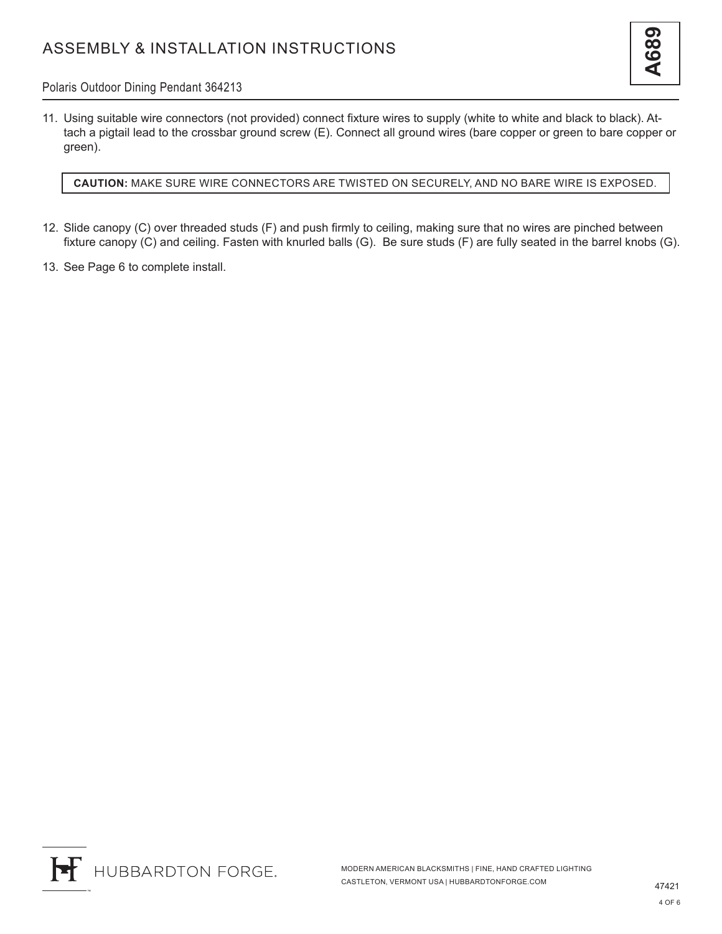### Polaris Outdoor Dining Pendant 364213

11. Using suitable wire connectors (not provided) connect fixture wires to supply (white to white and black to black). Attach a pigtail lead to the crossbar ground screw (E). Connect all ground wires (bare copper or green to bare copper or green).

**CAUTION:** MAKE SURE WIRE CONNECTORS ARE TWISTED ON SECURELY, AND NO BARE WIRE IS EXPOSED.

- 12. Slide canopy (C) over threaded studs (F) and push firmly to ceiling, making sure that no wires are pinched between fixture canopy (C) and ceiling. Fasten with knurled balls (G). Be sure studs (F) are fully seated in the barrel knobs (G).
- 13. See Page 6 to complete install.

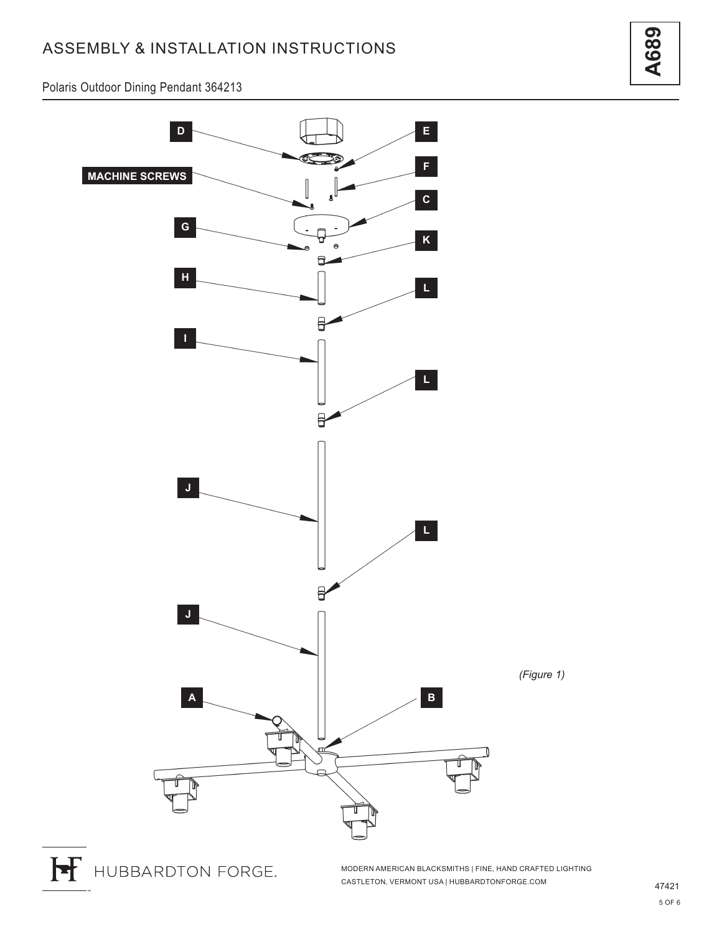# ASSEMBLY & INSTALLATION INSTRUCTIONS

**A689**

Polaris Outdoor Dining Pendant 364213



MODERN AMERICAN BLACKSMITHS | FINE, HAND CRAFTED LIGHTING CASTLETON, VERMONT USA | HUBBARDTONFORGE.COM 47421